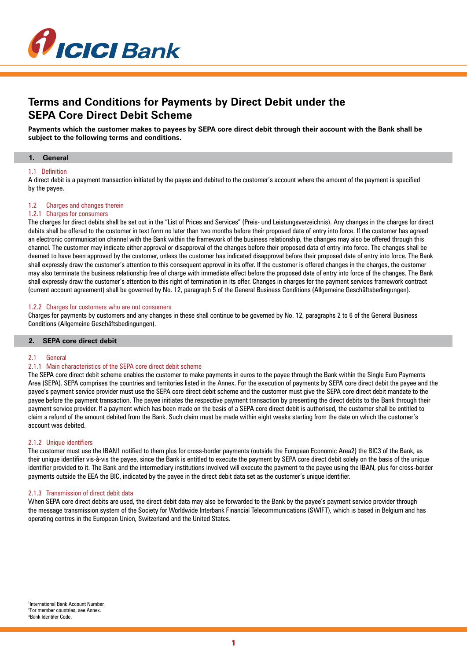

# **Terms and Conditions for Payments by Direct Debit under the SEPA Core Direct Debit Scheme**

**Payments which the customer makes to payees by SEPA core direct debit through their account with the Bank shall be subject to the following terms and conditions.**

## **1. General**

## 1.1 Definition

A direct debit is a payment transaction initiated by the payee and debited to the customer's account where the amount of the payment is specified by the payee.

## 1.2 Charges and changes therein

## 1.2.1 Charges for consumers

The charges for direct debits shall be set out in the "List of Prices and Services" (Preis- und Leistungsverzeichnis). Any changes in the charges for direct debits shall be offered to the customer in text form no later than two months before their proposed date of entry into force. If the customer has agreed an electronic communication channel with the Bank within the framework of the business relationship, the changes may also be offered through this channel. The customer may indicate either approval or disapproval of the changes before their proposed data of entry into force. The changes shall be deemed to have been approved by the customer, unless the customer has indicated disapproval before their proposed date of entry into force. The Bank shall expressly draw the customer's attention to this consequent approval in its offer. If the customer is offered changes in the charges, the customer may also terminate the business relationship free of charge with immediate effect before the proposed date of entry into force of the changes. The Bank shall expressly draw the customer's attention to this right of termination in its offer. Changes in charges for the payment services framework contract (current account agreement) shall be governed by No. 12, paragraph 5 of the General Business Conditions (Allgemeine Geschäftsbedingungen).

#### 1.2.2 Charges for customers who are not consumers

Charges for payments by customers and any changes in these shall continue to be governed by No. 12, paragraphs 2 to 6 of the General Business Conditions (Allgemeine Geschäftsbedingungen).

# **2. SEPA core direct debit**

#### 2.1 General

## 2.1.1 Main characteristics of the SEPA core direct debit scheme

The SEPA core direct debit scheme enables the customer to make payments in euros to the payee through the Bank within the Single Euro Payments Area (SEPA). SEPA comprises the countries and territories listed in the Annex. For the execution of payments by SEPA core direct debit the payee and the payee's payment service provider must use the SEPA core direct debit scheme and the customer must give the SEPA core direct debit mandate to the payee before the payment transaction. The payee initiates the respective payment transaction by presenting the direct debits to the Bank through their payment service provider. If a payment which has been made on the basis of a SEPA core direct debit is authorised, the customer shall be entitled to claim a refund of the amount debited from the Bank. Such claim must be made within eight weeks starting from the date on which the customer's account was debited.

## 2.1.2 Unique identifiers

The customer must use the IBAN1 notified to them plus for cross-border payments (outside the European Economic Area2) the BIC3 of the Bank, as their unique identifier vis-à-vis the payee, since the Bank is entitled to execute the payment by SEPA core direct debit solely on the basis of the unique identifier provided to it. The Bank and the intermediary institutions involved will execute the payment to the payee using the IBAN, plus for cross-border payments outside the EEA the BIC, indicated by the payee in the direct debit data set as the customer's unique identifier.

#### 2.1.3 Transmission of direct debit data

When SEPA core direct debits are used, the direct debit data may also be forwarded to the Bank by the payee's payment service provider through the message transmission system of the Society for Worldwide Interbank Financial Telecommunications (SWIFT), which is based in Belgium and has operating centres in the European Union, Switzerland and the United States.

1 International Bank Account Number. 2 For member countries, see Annex. ³Bank Identifer Code.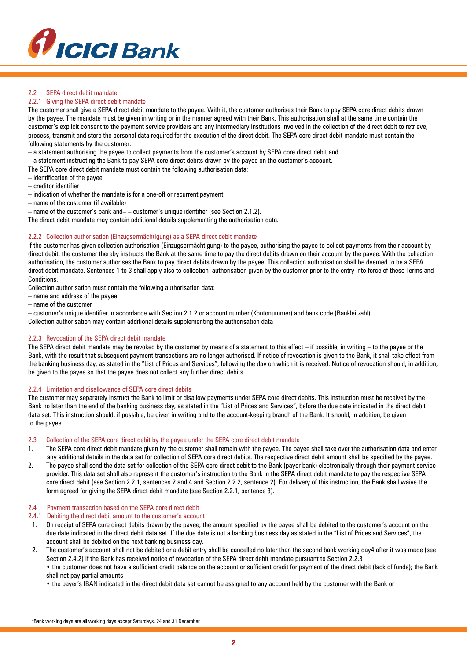

# 2.2 SFPA direct debit mandate

# 2.2.1 Giving the SEPA direct debit mandate

The customer shall give a SEPA direct debit mandate to the payee. With it, the customer authorises their Bank to pay SEPA core direct debits drawn by the payee. The mandate must be given in writing or in the manner agreed with their Bank. This authorisation shall at the same time contain the customer's explicit consent to the payment service providers and any intermediary institutions involved in the collection of the direct debit to retrieve, process, transmit and store the personal data required for the execution of the direct debit. The SEPA core direct debit mandate must contain the following statements by the customer:

– a statement authorising the payee to collect payments from the customer's account by SEPA core direct debit and

– a statement instructing the Bank to pay SEPA core direct debits drawn by the payee on the customer's account.

The SEPA core direct debit mandate must contain the following authorisation data:

- identification of the payee
- creditor identifier
- indication of whether the mandate is for a one-off or recurrent payment
- name of the customer (if available)
- name of the customer's bank and– customer's unique identifier (see Section 2.1.2).

The direct debit mandate may contain additional details supplementing the authorisation data.

## 2.2.2 Collection authorisation (Einzugsermächtigung) as a SEPA direct debit mandate

If the customer has given collection authorisation (Einzugsermächtigung) to the payee, authorising the payee to collect payments from their account by direct debit, the customer thereby instructs the Bank at the same time to pay the direct debits drawn on their account by the payee. With the collection authorisation, the customer authorises the Bank to pay direct debits drawn by the payee. This collection authorisation shall be deemed to be a SEPA direct debit mandate. Sentences 1 to 3 shall apply also to collection authorisation given by the customer prior to the entry into force of these Terms and Conditions.

Collection authorisation must contain the following authorisation data:

- name and address of the payee
- name of the customer

– customer's unique identifier in accordance with Section 2.1.2 or account number (Kontonummer) and bank code (Bankleitzahl).

Collection authorisation may contain additional details supplementing the authorisation data

## 2.2.3 Revocation of the SEPA direct debit mandate

The SEPA direct debit mandate may be revoked by the customer by means of a statement to this effect – if possible, in writing – to the payee or the Bank, with the result that subsequent payment transactions are no longer authorised. If notice of revocation is given to the Bank, it shall take effect from the banking business day, as stated in the "List of Prices and Services", following the day on which it is received. Notice of revocation should, in addition, be given to the payee so that the payee does not collect any further direct debits.

# 2.2.4 Limitation and disallowance of SEPA core direct debits

The customer may separately instruct the Bank to limit or disallow payments under SEPA core direct debits. This instruction must be received by the Bank no later than the end of the banking business day, as stated in the "List of Prices and Services", before the due date indicated in the direct debit data set. This instruction should, if possible, be given in writing and to the account-keeping branch of the Bank. It should, in addition, be given to the payee.

## 2.3 Collection of the SEPA core direct debit by the payee under the SEPA core direct debit mandate

- 1. The SEPA core direct debit mandate given by the customer shall remain with the payee. The payee shall take over the authorisation data and enter any additional details in the data set for collection of SEPA core direct debits. The respective direct debit amount shall be specified by the payee.
- 2. The payee shall send the data set for collection of the SEPA core direct debit to the Bank (payer bank) electronically through their payment service provider. This data set shall also represent the customer's instruction to the Bank in the SEPA direct debit mandate to pay the respective SEPA core direct debit (see Section 2.2.1, sentences 2 and 4 and Section 2.2.2, sentence 2). For delivery of this instruction, the Bank shall waive the form agreed for giving the SEPA direct debit mandate (see Section 2.2.1, sentence 3).

#### 2.4 Payment transaction based on the SEPA core direct debit

- 2.4.1 Debiting the direct debit amount to the customer's account
- 1. On receipt of SEPA core direct debits drawn by the payee, the amount specified by the payee shall be debited to the customer's account on the due date indicated in the direct debit data set. If the due date is not a banking business day as stated in the "List of Prices and Services", the account shall be debited on the next banking business day.
- 2. The customer's account shall not be debited or a debit entry shall be cancelled no later than the second bank working day4 after it was made (see Section 2.4.2) if the Bank has received notice of revocation of the SEPA direct debit mandate pursuant to Section 2.2.3 • the customer does not have a sufficient credit balance on the account or sufficient credit for payment of the direct debit (lack of funds); the Bank shall not pay partial amounts
	- the payer's IBAN indicated in the direct debit data set cannot be assigned to any account held by the customer with the Bank or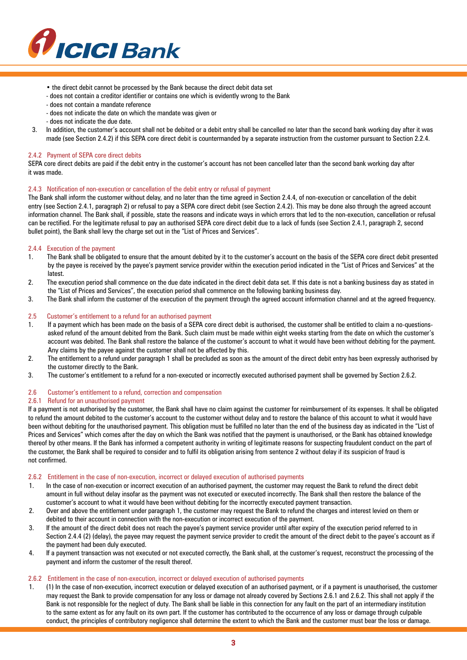

- the direct debit cannot be processed by the Bank because the direct debit data set
- does not contain a creditor identifier or contains one which is evidently wrong to the Bank
- does not contain a mandate reference
- does not indicate the date on which the mandate was given or
- does not indicate the due date.
- 3. In addition, the customer's account shall not be debited or a debit entry shall be cancelled no later than the second bank working day after it was made (see Section 2.4.2) if this SEPA core direct debit is countermanded by a separate instruction from the customer pursuant to Section 2.2.4.

# 2.4.2 Payment of SEPA core direct debits

SEPA core direct debits are paid if the debit entry in the customer's account has not been cancelled later than the second bank working day after it was made.

## 2.4.3 Notification of non-execution or cancellation of the debit entry or refusal of payment

The Bank shall inform the customer without delay, and no later than the time agreed in Section 2.4.4, of non-execution or cancellation of the debit entry (see Section 2.4.1, paragraph 2) or refusal to pay a SEPA core direct debit (see Section 2.4.2). This may be done also through the agreed account information channel. The Bank shall, if possible, state the reasons and indicate ways in which errors that led to the non-execution, cancellation or refusal can be rectified. For the legitimate refusal to pay an authorised SEPA core direct debit due to a lack of funds (see Section 2.4.1, paragraph 2, second bullet point), the Bank shall levy the charge set out in the "List of Prices and Services".

## 2.4.4 Execution of the payment

- 1. The Bank shall be obligated to ensure that the amount debited by it to the customer's account on the basis of the SEPA core direct debit presented by the payee is received by the payee's payment service provider within the execution period indicated in the "List of Prices and Services" at the latest.
- 2. The execution period shall commence on the due date indicated in the direct debit data set. If this date is not a banking business day as stated in the "List of Prices and Services", the execution period shall commence on the following banking business day.
- 3. The Bank shall inform the customer of the execution of the payment through the agreed account information channel and at the agreed frequency.

# 2.5 Customer's entitlement to a refund for an authorised payment

- 1. If a payment which has been made on the basis of a SEPA core direct debit is authorised, the customer shall be entitled to claim a no-questionsasked refund of the amount debited from the Bank. Such claim must be made within eight weeks starting from the date on which the customer's account was debited. The Bank shall restore the balance of the customer's account to what it would have been without debiting for the payment. Any claims by the payee against the customer shall not be affected by this.
- 2. The entitlement to a refund under paragraph 1 shall be precluded as soon as the amount of the direct debit entry has been expressly authorised by the customer directly to the Bank.
- 3. The customer's entitlement to a refund for a non-executed or incorrectly executed authorised payment shall be governed by Section 2.6.2.

#### 2.6 Customer's entitlement to a refund, correction and compensation

#### 2.6.1 Refund for an unauthorised payment

If a payment is not authorised by the customer, the Bank shall have no claim against the customer for reimbursement of its expenses. It shall be obligated to refund the amount debited to the customer's account to the customer without delay and to restore the balance of this account to what it would have been without debiting for the unauthorised payment. This obligation must be fulfilled no later than the end of the business day as indicated in the "List of Prices and Services" which comes after the day on which the Bank was notified that the payment is unauthorised, or the Bank has obtained knowledge thereof by other means. If the Bank has informed a competent authority in writing of legitimate reasons for suspecting fraudulent conduct on the part of the customer, the Bank shall be required to consider and to fulfil its obligation arising from sentence 2 without delay if its suspicion of fraud is not confirmed.

#### 2.6.2 Entitlement in the case of non-execution, incorrect or delayed execution of authorised payments

- 1. In the case of non-execution or incorrect execution of an authorised payment, the customer may request the Bank to refund the direct debit amount in full without delay insofar as the payment was not executed or executed incorrectly. The Bank shall then restore the balance of the customer's account to what it would have been without debiting for the incorrectly executed payment transaction.
- 2. Over and above the entitlement under paragraph 1, the customer may request the Bank to refund the charges and interest levied on them or debited to their account in connection with the non-execution or incorrect execution of the payment.
- 3. If the amount of the direct debit does not reach the payee's payment service provider until after expiry of the execution period referred to in Section 2.4.4 (2) (delay), the payee may request the payment service provider to credit the amount of the direct debit to the payee's account as if the payment had been duly executed.
- 4. If a payment transaction was not executed or not executed correctly, the Bank shall, at the customer's request, reconstruct the processing of the payment and inform the customer of the result thereof.

# 2.6.2 Entitlement in the case of non-execution, incorrect or delayed execution of authorised payments

1. (1) In the case of non-execution, incorrect execution or delayed execution of an authorised payment, or if a payment is unauthorised, the customer may request the Bank to provide compensation for any loss or damage not already covered by Sections 2.6.1 and 2.6.2. This shall not apply if the Bank is not responsible for the neglect of duty. The Bank shall be liable in this connection for any fault on the part of an intermediary institution to the same extent as for any fault on its own part. If the customer has contributed to the occurrence of any loss or damage through culpable conduct, the principles of contributory negligence shall determine the extent to which the Bank and the customer must bear the loss or damage.